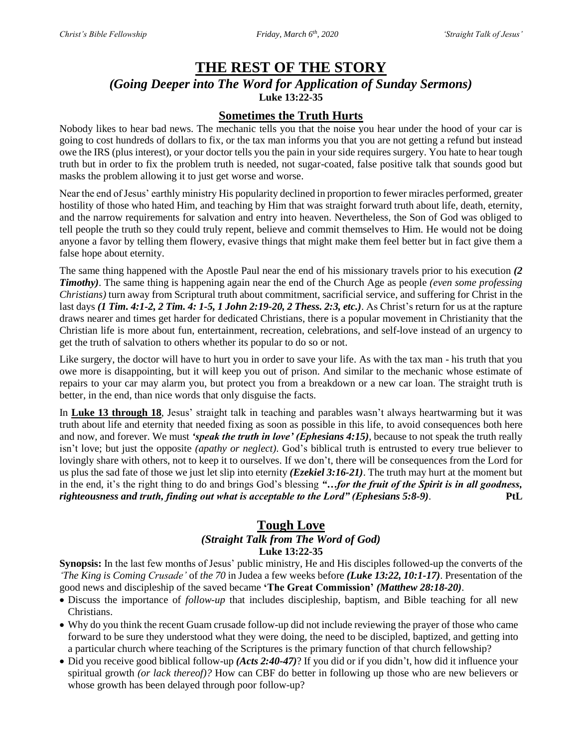# **THE REST OF THE STORY**

*(Going Deeper into The Word for Application of Sunday Sermons)* **Luke 13:22-35**

# **Sometimes the Truth Hurts**

Nobody likes to hear bad news. The mechanic tells you that the noise you hear under the hood of your car is going to cost hundreds of dollars to fix, or the tax man informs you that you are not getting a refund but instead owe the IRS (plus interest), or your doctor tells you the pain in your side requires surgery. You hate to hear tough truth but in order to fix the problem truth is needed, not sugar-coated, false positive talk that sounds good but masks the problem allowing it to just get worse and worse.

Near the end of Jesus' earthly ministry His popularity declined in proportion to fewer miracles performed, greater hostility of those who hated Him, and teaching by Him that was straight forward truth about life, death, eternity, and the narrow requirements for salvation and entry into heaven. Nevertheless, the Son of God was obliged to tell people the truth so they could truly repent, believe and commit themselves to Him. He would not be doing anyone a favor by telling them flowery, evasive things that might make them feel better but in fact give them a false hope about eternity.

The same thing happened with the Apostle Paul near the end of his missionary travels prior to his execution *(2 Timothy)*. The same thing is happening again near the end of the Church Age as people *(even some professing Christians)* turn away from Scriptural truth about commitment, sacrificial service, and suffering for Christ in the last days *(1 Tim. 4:1-2, 2 Tim. 4: 1-5, 1 John 2:19-20, 2 Thess. 2:3, etc.)*. As Christ's return for us at the rapture draws nearer and times get harder for dedicated Christians, there is a popular movement in Christianity that the Christian life is more about fun, entertainment, recreation, celebrations, and self-love instead of an urgency to get the truth of salvation to others whether its popular to do so or not.

Like surgery, the doctor will have to hurt you in order to save your life. As with the tax man - his truth that you owe more is disappointing, but it will keep you out of prison. And similar to the mechanic whose estimate of repairs to your car may alarm you, but protect you from a breakdown or a new car loan. The straight truth is better, in the end, than nice words that only disguise the facts.

In **Luke 13 through 18**, Jesus' straight talk in teaching and parables wasn't always heartwarming but it was truth about life and eternity that needed fixing as soon as possible in this life, to avoid consequences both here and now, and forever. We must *'speak the truth in love' (Ephesians 4:15)*, because to not speak the truth really isn't love; but just the opposite *(apathy or neglect)*. God's biblical truth is entrusted to every true believer to lovingly share with others, not to keep it to ourselves. If we don't, there will be consequences from the Lord for us plus the sad fate of those we just let slip into eternity *(Ezekiel 3:16-21)*. The truth may hurt at the moment but in the end, it's the right thing to do and brings God's blessing *"…for the fruit of the Spirit is in all goodness, righteousness and truth, finding out what is acceptable to the Lord" (Ephesians 5:8-9)*. **PtL**

# **Tough Love**

#### *(Straight Talk from The Word of God)* **Luke 13:22-35**

**Synopsis:** In the last few months of Jesus' public ministry, He and His disciples followed-up the converts of the *'The King is Coming Crusade'* of *the 70* in Judea a few weeks before *(Luke 13:22, 10:1-17)*. Presentation of the good news and discipleship of the saved became **'The Great Commission'** *(Matthew 28:18-20)*.

- Discuss the importance of *follow-up* that includes discipleship, baptism, and Bible teaching for all new Christians.
- Why do you think the recent Guam crusade follow-up did not include reviewing the prayer of those who came forward to be sure they understood what they were doing, the need to be discipled, baptized, and getting into a particular church where teaching of the Scriptures is the primary function of that church fellowship?
- Did you receive good biblical follow-up *(Acts 2:40-47)*? If you did or if you didn't, how did it influence your spiritual growth *(or lack thereof)?* How can CBF do better in following up those who are new believers or whose growth has been delayed through poor follow-up?